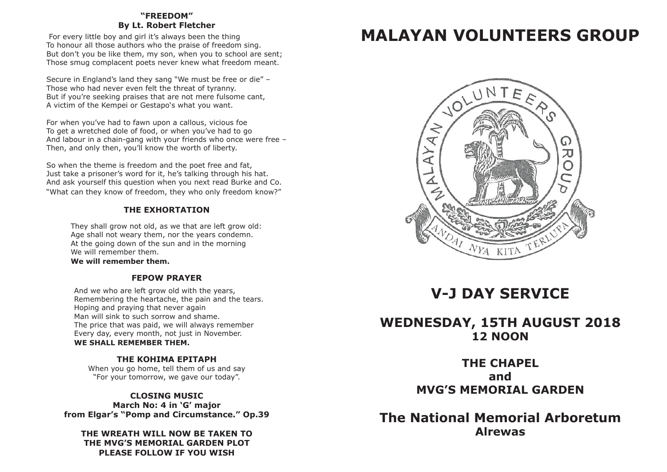# **"FREEDOM" By Lt. Robert Fletcher**

 For every little boy and girl it's always been the thing To honour all those authors who the praise of freedom sing. But don't you be like them, my son, when you to school are sent: Those smug complacent poets never knew what freedom meant.

Secure in England's land they sang "We must be free or die" – Those who had never even felt the threat of tyranny. But if you're seeking praises that are not mere fulsome cant. A victim of the Kempei or Gestapo's what you want.

For when you've had to fawn upon a callous, vicious foe To get a wretched dole of food, or when you've had to go And labour in a chain-gang with your friends who once were free – Then, and only then, you'll know the worth of liberty.

So when the theme is freedom and the poet free and fat, Just take a prisoner's word for it, he's talking through his hat. And ask yourself this question when you next read Burke and Co. "What can they know of freedom, they who only freedom know?"

# **THE EXHORTATION**

They shall grow not old, as we that are left grow old: Age shall not weary them, nor the years condemn. At the going down of the sun and in the morning We will remember them.

**We will remember them.**

# **FEPOW PRAYER**

And we who are left grow old with the years, Remembering the heartache, the pain and the tears. Hoping and praying that never again Man will sink to such sorrow and shame. The price that was paid, we will always remember Every day, every month, not just in November. WE SHALL REMEMBER THEM.

# **THE KOHIMA EPITAPH**

When you go home, tell them of us and say "For your tomorrow, we gave our today".

**CLOSING MUSIC March No: 4 in 'G' major from Elgar's "Pomp and Circumstance." Op.39**

**THE WREATH WILL NOW BE TAKEN TO THE MVG'S MEMORIAL GARDEN PLOT PLEASE FOLLOW IF YOU WISH**

# **MALAYAN VOLUNTEERS GROUP MALAYAN VOLUNTEERS GROUP**



# **V-J DAY SERVICE V-J DAY SERVICE**

# **TUESDAY, 15TH AUGUST 2017 12 NOON WEDNESDAY, 15TH AUGUST 2018**

**THE CHAPEL MVG MEMORIAL GARDEN MVG'S MEMORIAL GARDEN and**

 **The National Memorial Arboretum The National Memorial Arboretum Alrewas Alrewas**